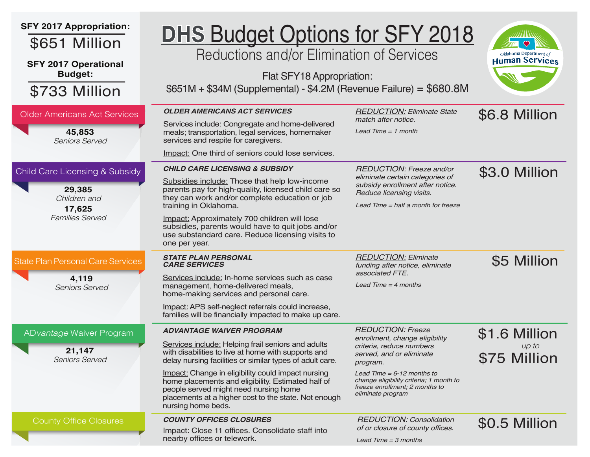| <b>SFY 2017 Appropriation:</b><br>\$651 Million<br><b>SFY 2017 Operational</b><br><b>Budget:</b><br>\$733 Million | <b>DHS Budget Options for SFY 2018</b><br>Reductions and/or Elimination of Services<br>Flat SFY18 Appropriation:<br>$$651M + $34M$ (Supplemental) - \$4.2M (Revenue Failure) = \$680.8M                                                                                                                                                                                                                                                     |                                                                                                                                                                                                                                                                | Oklahoma Department of<br><b>Human Services</b> |
|-------------------------------------------------------------------------------------------------------------------|---------------------------------------------------------------------------------------------------------------------------------------------------------------------------------------------------------------------------------------------------------------------------------------------------------------------------------------------------------------------------------------------------------------------------------------------|----------------------------------------------------------------------------------------------------------------------------------------------------------------------------------------------------------------------------------------------------------------|-------------------------------------------------|
| <b>Older Americans Act Services</b><br>45,853<br><b>Seniors Served</b>                                            | <b>OLDER AMERICANS ACT SERVICES</b><br>Services include: Congregate and home-delivered<br>meals; transportation, legal services, homemaker<br>services and respite for caregivers.<br>Impact: One third of seniors could lose services.                                                                                                                                                                                                     | <b>REDUCTION: Eliminate State</b><br>match after notice.<br>Lead Time $= 1$ month                                                                                                                                                                              | \$6.8 Million                                   |
| Child Care Licensing & Subsidy<br>29,385<br>Children and<br>17,625<br><b>Families Served</b>                      | <b>CHILD CARE LICENSING &amp; SUBSIDY</b><br>Subsidies include: Those that help low-income<br>parents pay for high-quality, licensed child care so<br>they can work and/or complete education or job<br>training in Oklahoma.<br>Impact: Approximately 700 children will lose<br>subsidies, parents would have to quit jobs and/or<br>use substandard care. Reduce licensing visits to<br>one per year.                                     | <b>REDUCTION: Freeze and/or</b><br>eliminate certain categories of<br>subsidy enrollment after notice.<br>Reduce licensing visits.<br>Lead Time $=$ half a month for freeze                                                                                    | \$3.0 Million                                   |
| <b>State Plan Personal Care Services</b><br>4,119<br><b>Seniors Served</b>                                        | <b>STATE PLAN PERSONAL</b><br><b>CARE SERVICES</b><br>Services include: In-home services such as case<br>management, home-delivered meals,<br>home-making services and personal care.<br>Impact: APS self-neglect referrals could increase,<br>families will be financially impacted to make up care.                                                                                                                                       | <b>REDUCTION: Eliminate</b><br>funding after notice, eliminate<br>associated FTE.<br>Lead Time $=$ 4 months                                                                                                                                                    | \$5 Million                                     |
| ADvantage Waiver Program<br>21,147<br><b>Seniors Served</b>                                                       | <b>ADVANTAGE WAIVER PROGRAM</b><br>Services include: Helping frail seniors and adults<br>with disabilities to live at home with supports and<br>delay nursing facilities or similar types of adult care.<br>Impact: Change in eligibility could impact nursing<br>home placements and eligibility. Estimated half of<br>people served might need nursing home<br>placements at a higher cost to the state. Not enough<br>nursing home beds. | <b>REDUCTION: Freeze</b><br>enrollment, change eligibility<br>criteria, reduce numbers<br>served, and or eliminate<br>program.<br>Lead Time = 6-12 months to<br>change eligibility criteria; 1 month to<br>freeze enrollment; 2 months to<br>eliminate program | \$1.6 Million<br>up to<br>\$75 Million          |
| <b>County Office Closures</b>                                                                                     | <b>COUNTY OFFICES CLOSURES</b><br>Impact: Close 11 offices. Consolidate staff into<br>nearby offices or telework.                                                                                                                                                                                                                                                                                                                           | <b>REDUCTION: Consolidation</b><br>of or closure of county offices.<br>Lead Time $=$ 3 months                                                                                                                                                                  | \$0.5 Million                                   |